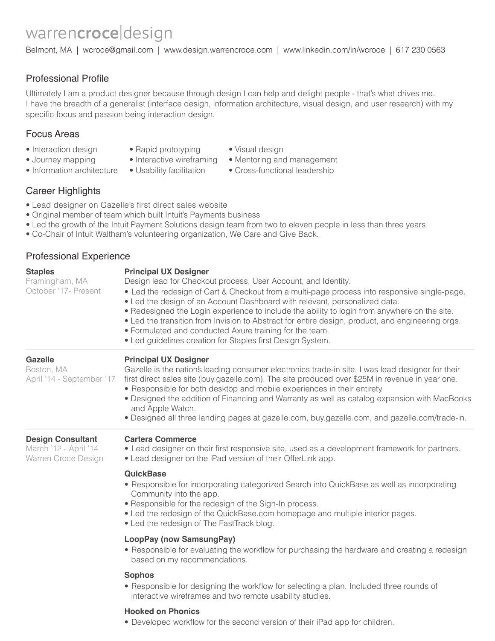# warrencroce|design

Belmont, MA | wcroce@gmail.com | www.design.warrencroce.com | www.linkedin.com/in/wcroce | 617 230 0563

# Professional Profile

Ultimately I am a product designer because through design I can help and delight people - that's what drives me. I have the breadth of a generalist (interface design, information architecture, visual design, and user research) with my specific focus and passion being interaction design.

## Focus Areas

- Interaction design
- Rapid prototyping
- Visual design
- Journey mapping
- Information architecture Usability facilitation
- 
- Interactive wireframing Mentoring and management • Cross-functional leadership
- Career Highlights
- Lead designer on Gazelle's first direct sales website
- Original member of team which built Intuit's Payments business
- Led the growth of the Intuit Payment Solutions design team from two to eleven people in less than three years
- Co-Chair of Intuit Waltham's volunteering organization, We Care and Give Back.

## Professional Experience

| <b>Staples</b><br>Framingham, MA<br>October '17- Present                 | <b>Principal UX Designer</b><br>Design lead for Checkout process, User Account, and Identity.<br>• Led the redesign of Cart & Checkout from a multi-page process into responsive single-page.<br>• Led the design of an Account Dashboard with relevant, personalized data.<br>. Redesigned the Login experience to include the ability to login from anywhere on the site.<br>• Led the transition from Invision to Abstract for entire design, product, and engineering orgs.<br>• Formulated and conducted Axure training for the team.<br>• Led guidelines creation for Staples first Design System. |
|--------------------------------------------------------------------------|----------------------------------------------------------------------------------------------------------------------------------------------------------------------------------------------------------------------------------------------------------------------------------------------------------------------------------------------------------------------------------------------------------------------------------------------------------------------------------------------------------------------------------------------------------------------------------------------------------|
| <b>Gazelle</b><br>Boston, MA<br>April '14 - September '17                | <b>Principal UX Designer</b><br>Gazelle is the nation's leading consumer electronics trade-in site. I was lead designer for their<br>first direct sales site (buy.gazelle.com). The site produced over \$25M in revenue in year one.<br>• Responsible for both desktop and mobile experiences in their entirety.<br>• Designed the addition of Financing and Warranty as well as catalog expansion with MacBooks<br>and Apple Watch.<br>. Designed all three landing pages at gazelle.com, buy.gazelle.com, and gazelle.com/trade-in.                                                                    |
| <b>Design Consultant</b><br>March '12 - April '14<br>Warren Croce Design | <b>Cartera Commerce</b><br>• Lead designer on their first responsive site, used as a development framework for partners.<br>• Lead designer on the iPad version of their OfferLink app.                                                                                                                                                                                                                                                                                                                                                                                                                  |
|                                                                          | <b>QuickBase</b><br>• Responsible for incorporating categorized Search into QuickBase as well as incorporating<br>Community into the app.<br>• Responsible for the redesign of the Sign-In process.<br>• Led the redesign of the QuickBase.com homepage and multiple interior pages.<br>• Led the redesign of The FastTrack blog.                                                                                                                                                                                                                                                                        |
|                                                                          | LoopPay (now SamsungPay)<br>• Responsible for evaluating the workflow for purchasing the hardware and creating a redesign<br>based on my recommendations.                                                                                                                                                                                                                                                                                                                                                                                                                                                |
|                                                                          | <b>Sophos</b><br>• Responsible for designing the workflow for selecting a plan. Included three rounds of<br>interactive wireframes and two remote usability studies.                                                                                                                                                                                                                                                                                                                                                                                                                                     |
|                                                                          | <b>Hooked on Phonics</b>                                                                                                                                                                                                                                                                                                                                                                                                                                                                                                                                                                                 |

• Developed workflow for the second version of their iPad app for children.